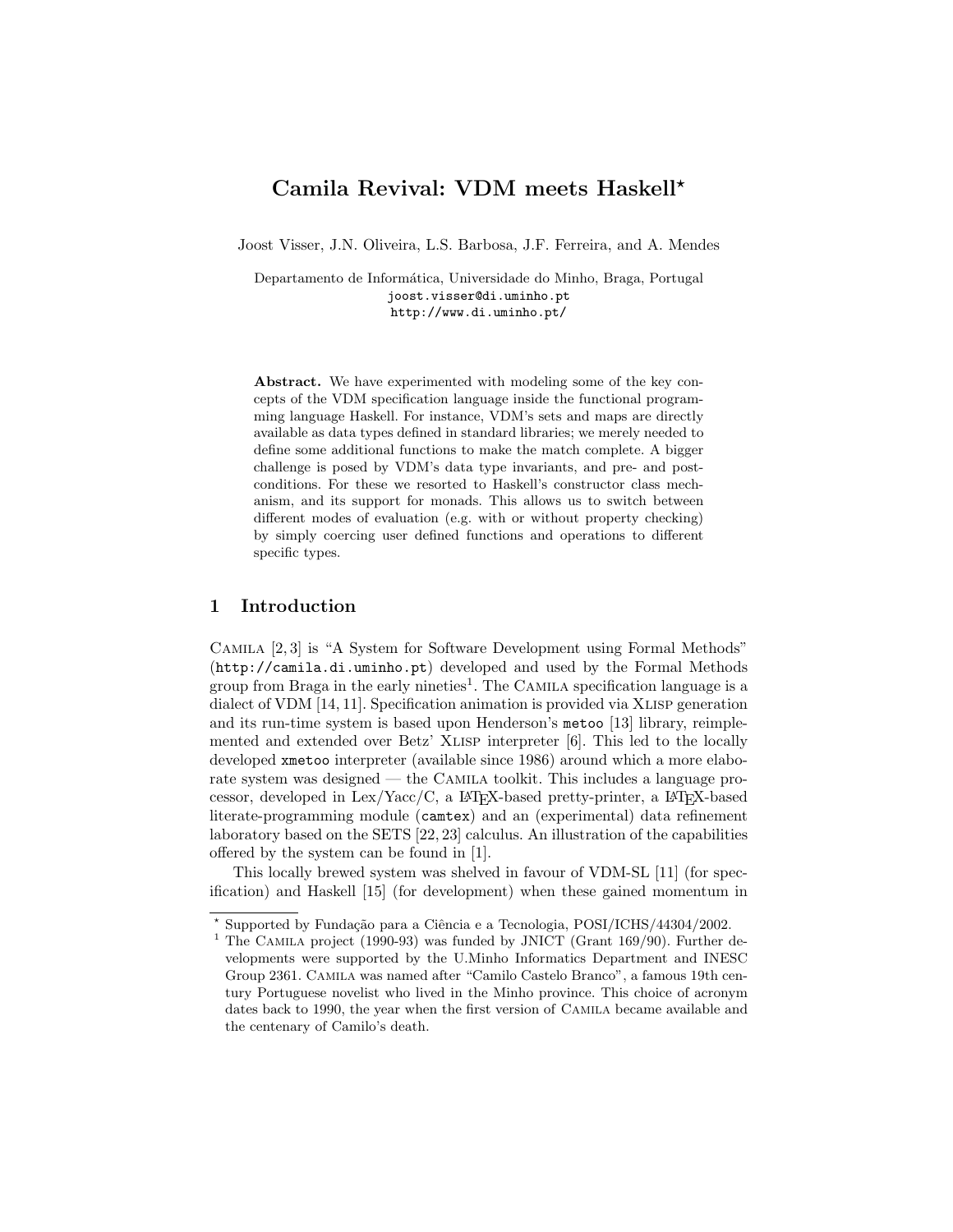# Camila Revival: VDM meets Haskell?

Joost Visser, J.N. Oliveira, L.S. Barbosa, J.F. Ferreira, and A. Mendes

Departamento de Informática, Universidade do Minho, Braga, Portugal joost.visser@di.uminho.pt http://www.di.uminho.pt/

Abstract. We have experimented with modeling some of the key concepts of the VDM specification language inside the functional programming language Haskell. For instance, VDM's sets and maps are directly available as data types defined in standard libraries; we merely needed to define some additional functions to make the match complete. A bigger challenge is posed by VDM's data type invariants, and pre- and postconditions. For these we resorted to Haskell's constructor class mechanism, and its support for monads. This allows us to switch between different modes of evaluation (e.g. with or without property checking) by simply coercing user defined functions and operations to different specific types.

## 1 Introduction

Camila [2, 3] is "A System for Software Development using Formal Methods" (http://camila.di.uminho.pt) developed and used by the Formal Methods group from Braga in the early nineties<sup>1</sup>. The CAMILA specification language is a dialect of VDM [14, 11]. Specification animation is provided via Xlisp generation and its run-time system is based upon Henderson's metoo [13] library, reimplemented and extended over Betz' XLISP interpreter [6]. This led to the locally developed xmetoo interpreter (available since 1986) around which a more elaborate system was designed — the Camila toolkit. This includes a language processor, developed in  $Lex/Yacc/C$ , a  $BTRX$ -based pretty-printer, a  $BTRX$ -based literate-programming module (camtex) and an (experimental) data refinement laboratory based on the SETS [22, 23] calculus. An illustration of the capabilities offered by the system can be found in [1].

This locally brewed system was shelved in favour of VDM-SL [11] (for specification) and Haskell [15] (for development) when these gained momentum in

<sup>\*</sup> Supported by Fundação para a Ciência e a Tecnologia, POSI/ICHS/44304/2002.

<sup>&</sup>lt;sup>1</sup> The CAMILA project (1990-93) was funded by JNICT (Grant  $169/90$ ). Further developments were supported by the U.Minho Informatics Department and INESC Group 2361. Camila was named after "Camilo Castelo Branco", a famous 19th century Portuguese novelist who lived in the Minho province. This choice of acronym dates back to 1990, the year when the first version of Camila became available and the centenary of Camilo's death.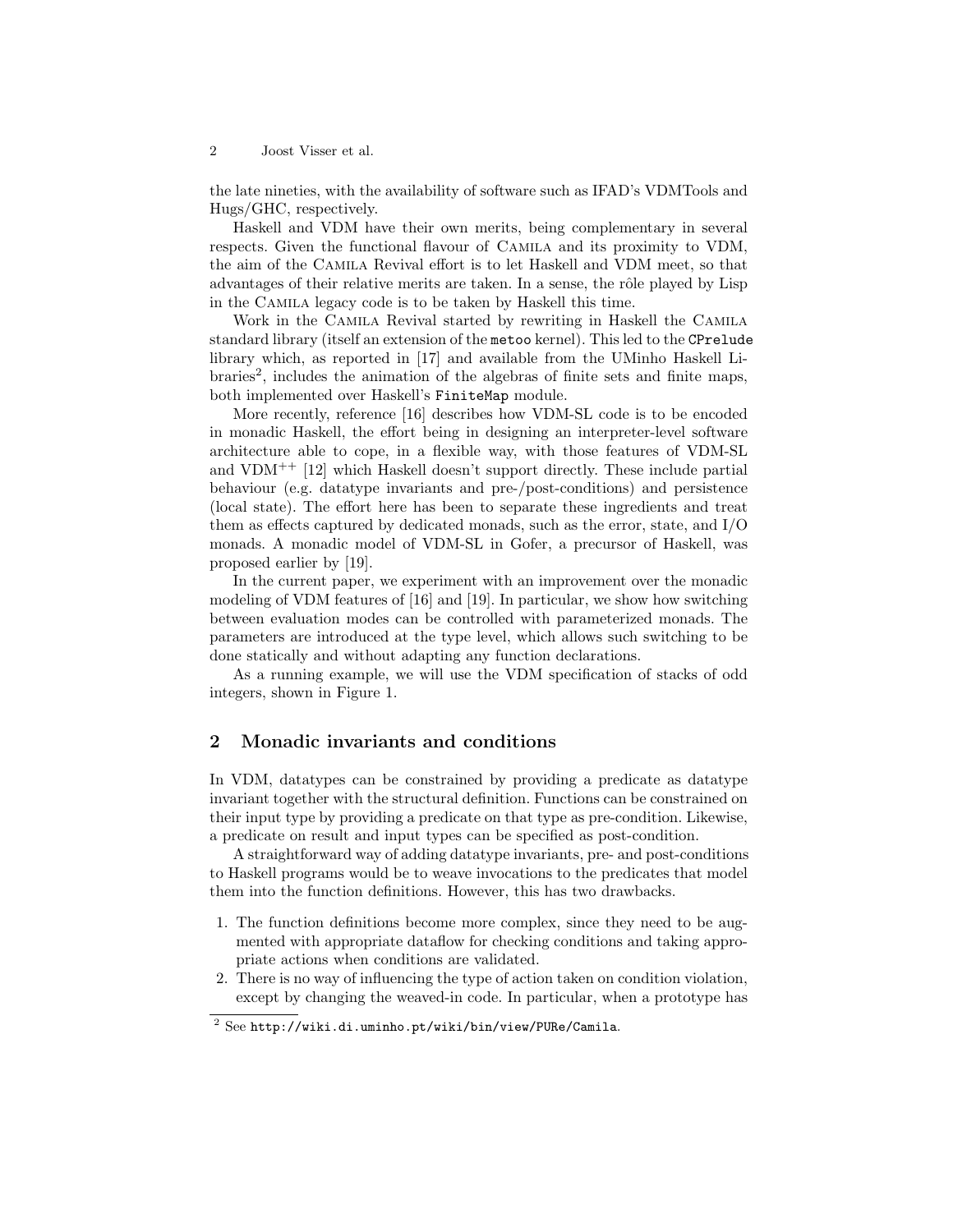the late nineties, with the availability of software such as IFAD's VDMTools and Hugs/GHC, respectively.

Haskell and VDM have their own merits, being complementary in several respects. Given the functional flavour of Camila and its proximity to VDM, the aim of the Camila Revival effort is to let Haskell and VDM meet, so that advantages of their relative merits are taken. In a sense, the rôle played by Lisp in the Camila legacy code is to be taken by Haskell this time.

Work in the Camila Revival started by rewriting in Haskell the Camila standard library (itself an extension of the metoo kernel). This led to the CPrelude library which, as reported in [17] and available from the UMinho Haskell Libraries<sup>2</sup>, includes the animation of the algebras of finite sets and finite maps, both implemented over Haskell's FiniteMap module.

More recently, reference [16] describes how VDM-SL code is to be encoded in monadic Haskell, the effort being in designing an interpreter-level software architecture able to cope, in a flexible way, with those features of VDM-SL and  $VDM^{++}$  [12] which Haskell doesn't support directly. These include partial behaviour (e.g. datatype invariants and pre-/post-conditions) and persistence (local state). The effort here has been to separate these ingredients and treat them as effects captured by dedicated monads, such as the error, state, and I/O monads. A monadic model of VDM-SL in Gofer, a precursor of Haskell, was proposed earlier by [19].

In the current paper, we experiment with an improvement over the monadic modeling of VDM features of [16] and [19]. In particular, we show how switching between evaluation modes can be controlled with parameterized monads. The parameters are introduced at the type level, which allows such switching to be done statically and without adapting any function declarations.

As a running example, we will use the VDM specification of stacks of odd integers, shown in Figure 1.

## 2 Monadic invariants and conditions

In VDM, datatypes can be constrained by providing a predicate as datatype invariant together with the structural definition. Functions can be constrained on their input type by providing a predicate on that type as pre-condition. Likewise, a predicate on result and input types can be specified as post-condition.

A straightforward way of adding datatype invariants, pre- and post-conditions to Haskell programs would be to weave invocations to the predicates that model them into the function definitions. However, this has two drawbacks.

- 1. The function definitions become more complex, since they need to be augmented with appropriate dataflow for checking conditions and taking appropriate actions when conditions are validated.
- 2. There is no way of influencing the type of action taken on condition violation, except by changing the weaved-in code. In particular, when a prototype has

 $2$  See http://wiki.di.uminho.pt/wiki/bin/view/PURe/Camila.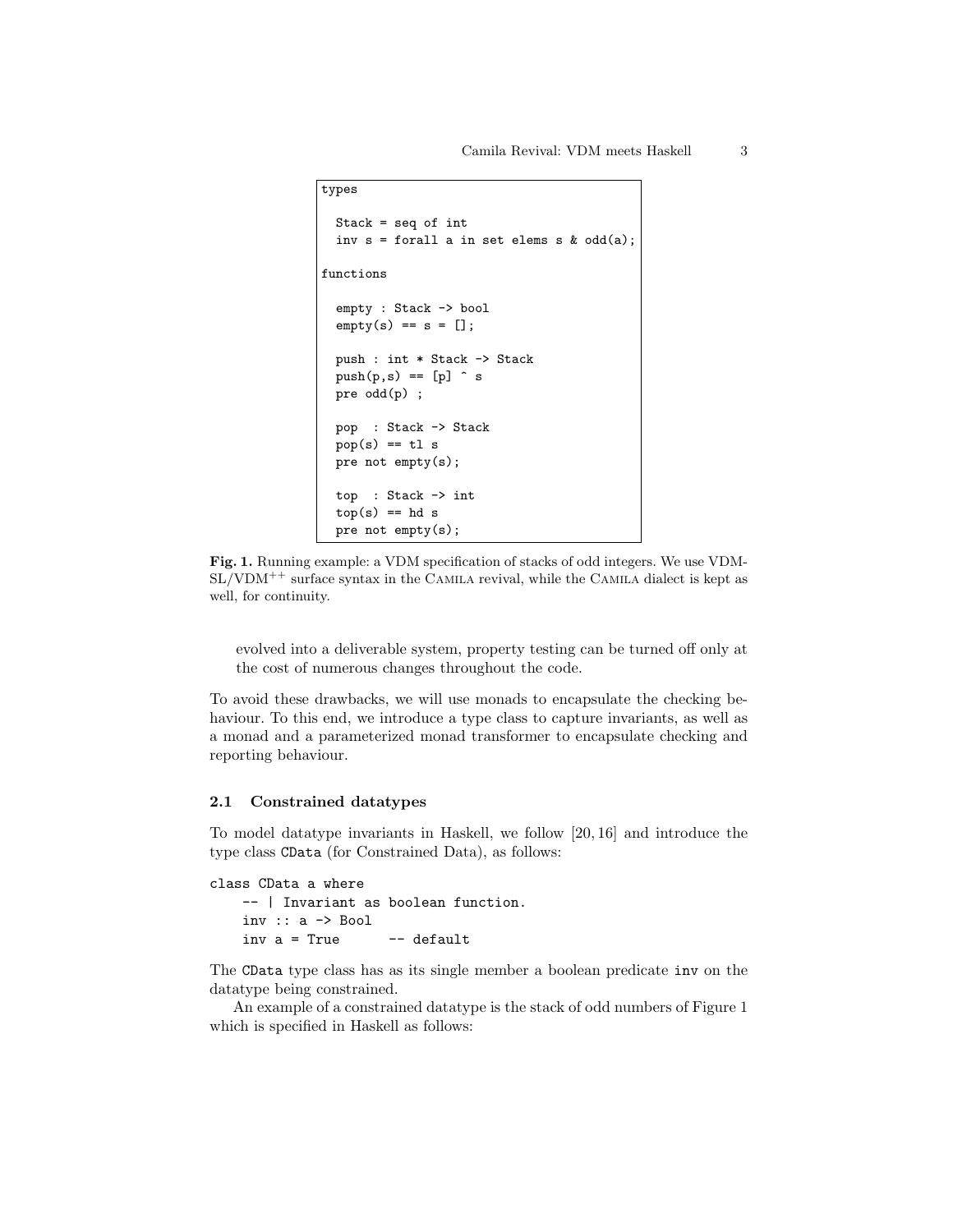```
types
 Stack = seq of int
 inv s = forall a in set elems s \& odd(a);
functions
 empty : Stack -> bool
 empty(s) == s = [];push : int * Stack -> Stack
 push(p,s) == [p] s
 pre odd(p) ;
 pop : Stack -> Stack
 pop(s) == t1 spre not empty(s);
 top : Stack -> int
 top(s) == hd spre not empty(s);
```
Fig. 1. Running example: a VDM specification of stacks of odd integers. We use VDM- $SL/VDM^{++}$  surface syntax in the CAMILA revival, while the CAMILA dialect is kept as well, for continuity.

evolved into a deliverable system, property testing can be turned off only at the cost of numerous changes throughout the code.

To avoid these drawbacks, we will use monads to encapsulate the checking behaviour. To this end, we introduce a type class to capture invariants, as well as a monad and a parameterized monad transformer to encapsulate checking and reporting behaviour.

## 2.1 Constrained datatypes

To model datatype invariants in Haskell, we follow [20, 16] and introduce the type class CData (for Constrained Data), as follows:

```
class CData a where
    -- | Invariant as boolean function.
    inv : a \rightarrow Bool
    inv a = True -- default
```
The CData type class has as its single member a boolean predicate inv on the datatype being constrained.

An example of a constrained datatype is the stack of odd numbers of Figure 1 which is specified in Haskell as follows: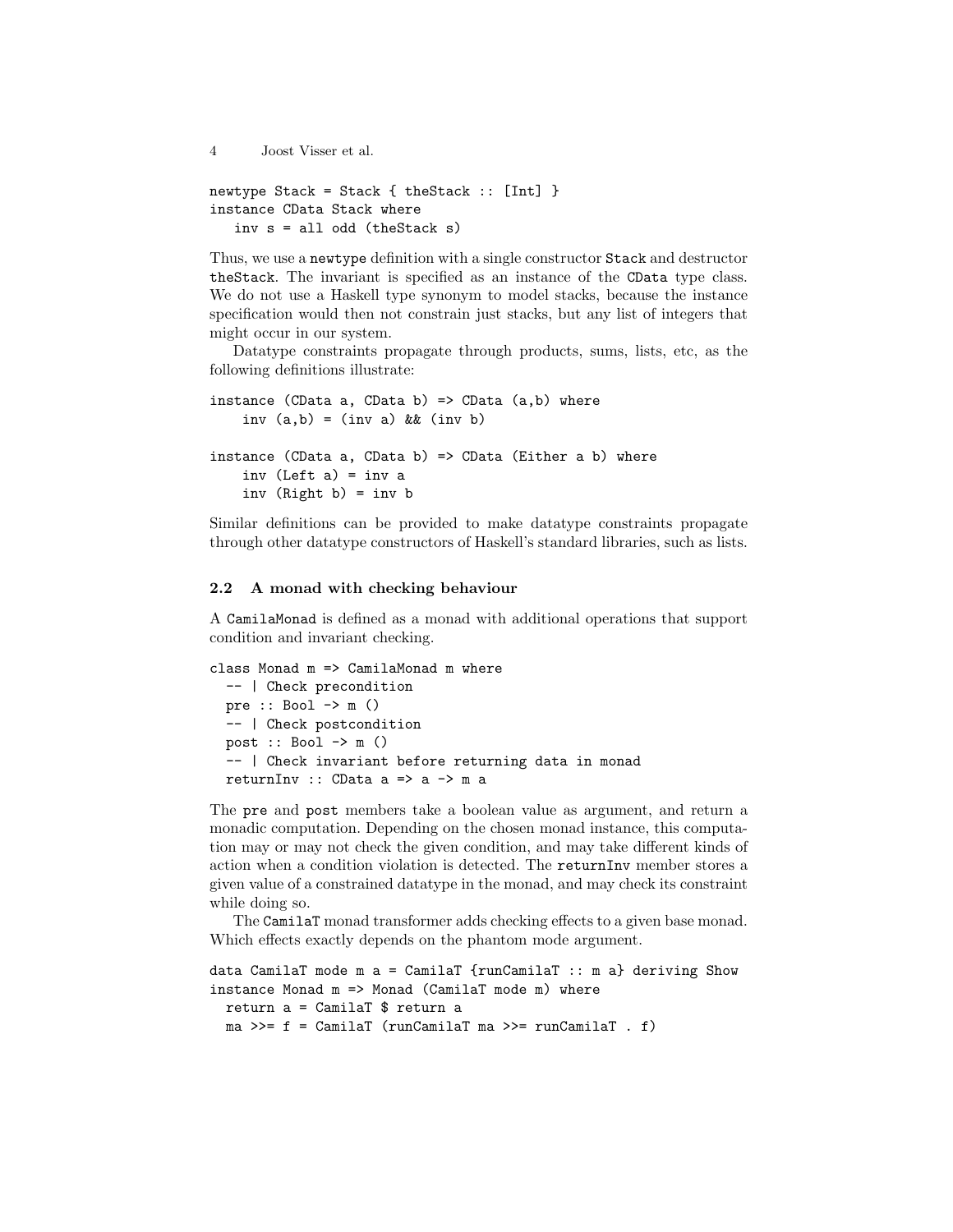```
4 Joost Visser et al.
newtype Stack = Stack { theStack :: [Int] }
instance CData Stack where
   inv s = all odd (theStack s)
```
Thus, we use a newtype definition with a single constructor Stack and destructor theStack. The invariant is specified as an instance of the CData type class. We do not use a Haskell type synonym to model stacks, because the instance specification would then not constrain just stacks, but any list of integers that might occur in our system.

Datatype constraints propagate through products, sums, lists, etc, as the following definitions illustrate:

```
instance (CData a, CData b) => CData (a,b) where
    inv (a,b) = (inv a) & (inv b)instance (CData a, CData b) => CData (Either a b) where
    inv (Left a) = inv a
    inv (Right b) = inv b
```
Similar definitions can be provided to make datatype constraints propagate through other datatype constructors of Haskell's standard libraries, such as lists.

#### 2.2 A monad with checking behaviour

A CamilaMonad is defined as a monad with additional operations that support condition and invariant checking.

```
class Monad m \Rightarrow CamilaMonad m where
  -- | Check precondition
  pre :: Bool \rightarrow m ()
  -- | Check postcondition
  post :: Bool \rightarrow m ()-- | Check invariant before returning data in monad
  returnInv :: CData a => a -> m a
```
The pre and post members take a boolean value as argument, and return a monadic computation. Depending on the chosen monad instance, this computation may or may not check the given condition, and may take different kinds of action when a condition violation is detected. The returnInv member stores a given value of a constrained datatype in the monad, and may check its constraint while doing so.

The CamilaT monad transformer adds checking effects to a given base monad. Which effects exactly depends on the phantom mode argument.

```
data CamilaT mode m a = CamilaT {runCamilaT :: m a} deriving Show
instance Monad m \Rightarrow Monad (CamilaT mode m) where
 return a = CamilaT $ return a
 ma >>= f = CamilaT (runCamilaT ma >>= runCamilaT . f)
```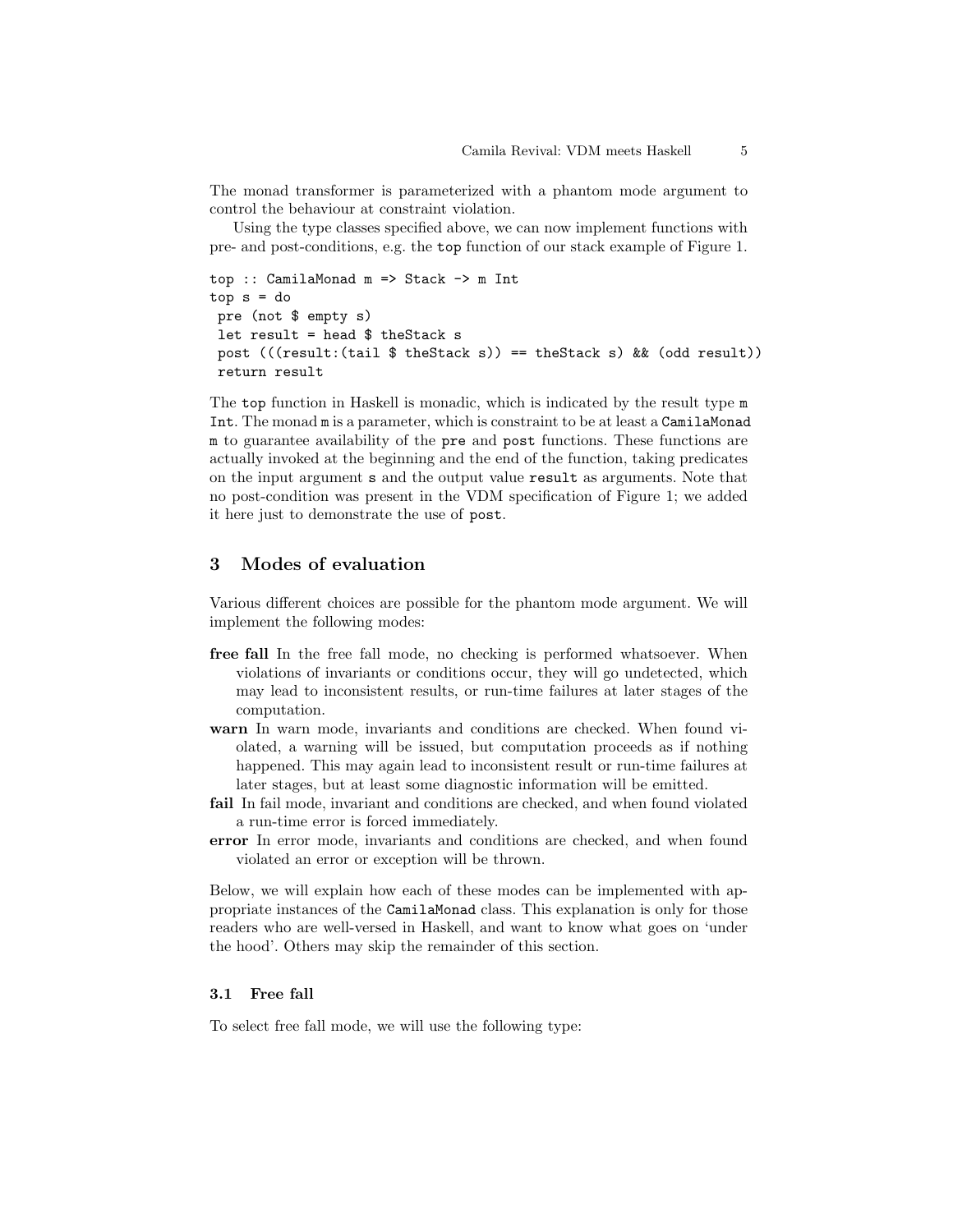The monad transformer is parameterized with a phantom mode argument to control the behaviour at constraint violation.

Using the type classes specified above, we can now implement functions with pre- and post-conditions, e.g. the top function of our stack example of Figure 1.

```
top :: CamilaMonad m => Stack -> m Int
top s = dopre (not $ empty s)
let result = head $ theStack s
post (((result:(tail \$ theStack s)) == theStack s) && (odd result))return result
```
The top function in Haskell is monadic, which is indicated by the result type m Int. The monad m is a parameter, which is constraint to be at least a CamilaMonad m to guarantee availability of the pre and post functions. These functions are actually invoked at the beginning and the end of the function, taking predicates on the input argument s and the output value result as arguments. Note that no post-condition was present in the VDM specification of Figure 1; we added it here just to demonstrate the use of post.

## 3 Modes of evaluation

Various different choices are possible for the phantom mode argument. We will implement the following modes:

- free fall In the free fall mode, no checking is performed whatsoever. When violations of invariants or conditions occur, they will go undetected, which may lead to inconsistent results, or run-time failures at later stages of the computation.
- warn In warn mode, invariants and conditions are checked. When found violated, a warning will be issued, but computation proceeds as if nothing happened. This may again lead to inconsistent result or run-time failures at later stages, but at least some diagnostic information will be emitted.
- fail In fail mode, invariant and conditions are checked, and when found violated a run-time error is forced immediately.
- error In error mode, invariants and conditions are checked, and when found violated an error or exception will be thrown.

Below, we will explain how each of these modes can be implemented with appropriate instances of the CamilaMonad class. This explanation is only for those readers who are well-versed in Haskell, and want to know what goes on 'under the hood'. Others may skip the remainder of this section.

## 3.1 Free fall

To select free fall mode, we will use the following type: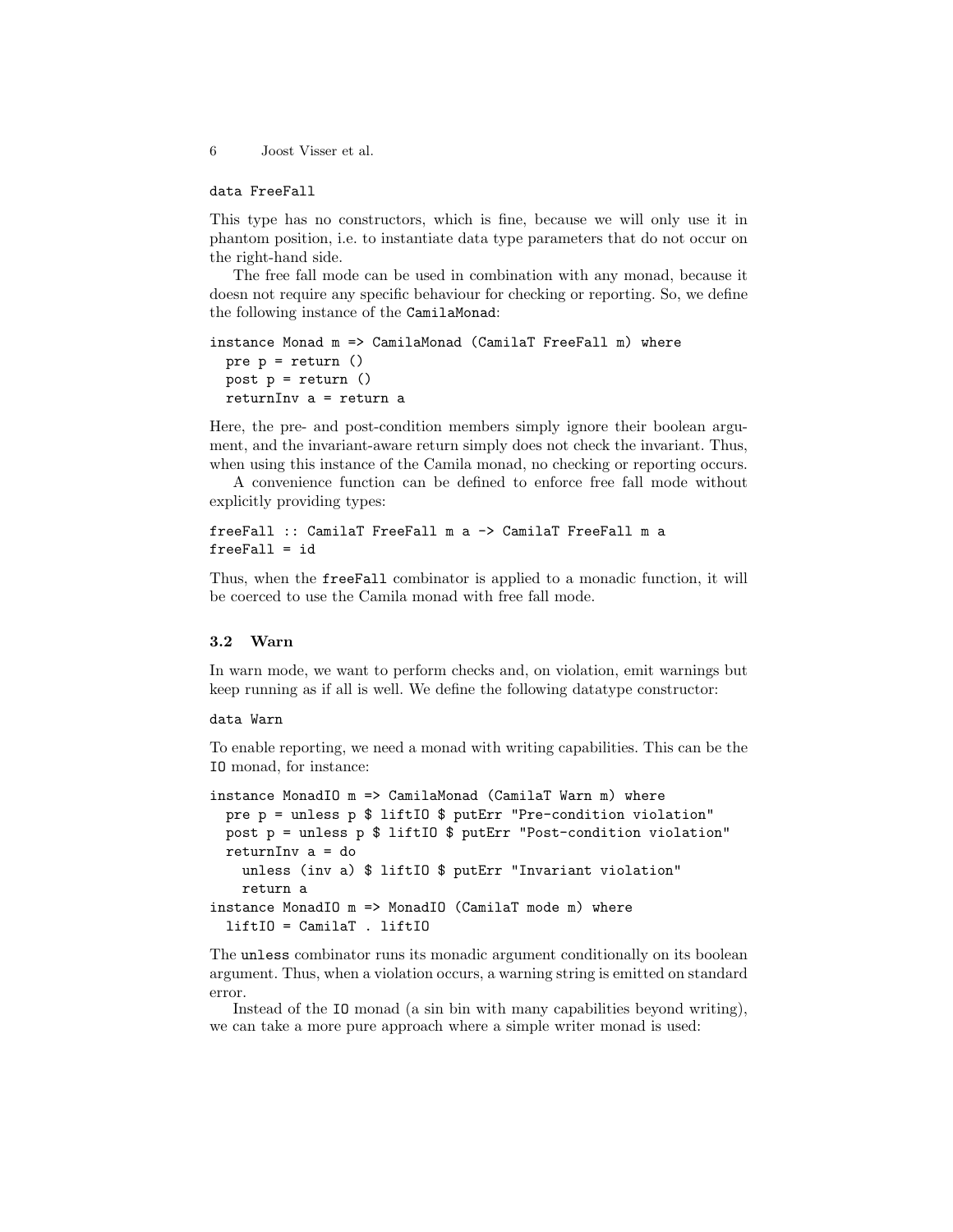## data FreeFall

This type has no constructors, which is fine, because we will only use it in phantom position, i.e. to instantiate data type parameters that do not occur on the right-hand side.

The free fall mode can be used in combination with any monad, because it doesn not require any specific behaviour for checking or reporting. So, we define the following instance of the CamilaMonad:

```
instance Monad m => CamilaMonad (CamilaT FreeFall m) where
 pre p = return ()
 post p = return ()
 returnInv a = return a
```
Here, the pre- and post-condition members simply ignore their boolean argument, and the invariant-aware return simply does not check the invariant. Thus, when using this instance of the Camila monad, no checking or reporting occurs.

A convenience function can be defined to enforce free fall mode without explicitly providing types:

```
freeFall :: CamilaT FreeFall m a -> CamilaT FreeFall m a
freeFall = id
```
Thus, when the freeFall combinator is applied to a monadic function, it will be coerced to use the Camila monad with free fall mode.

## 3.2 Warn

In warn mode, we want to perform checks and, on violation, emit warnings but keep running as if all is well. We define the following datatype constructor:

#### data Warn

To enable reporting, we need a monad with writing capabilities. This can be the IO monad, for instance:

```
instance MonadIO m => CamilaMonad (CamilaT Warn m) where
 pre p = unless p $ liftIO $ putErr "Pre-condition violation"
 post p = unless p $ liftIO $ putErr "Post-condition violation"
 returnInv a = do
    unless (inv a) $ liftIO $ putErr "Invariant violation"
   return a
instance MonadIO m => MonadIO (CamilaT mode m) where
  liftIO = CamilaT . liftIO
```
The unless combinator runs its monadic argument conditionally on its boolean argument. Thus, when a violation occurs, a warning string is emitted on standard error.

Instead of the IO monad (a sin bin with many capabilities beyond writing), we can take a more pure approach where a simple writer monad is used: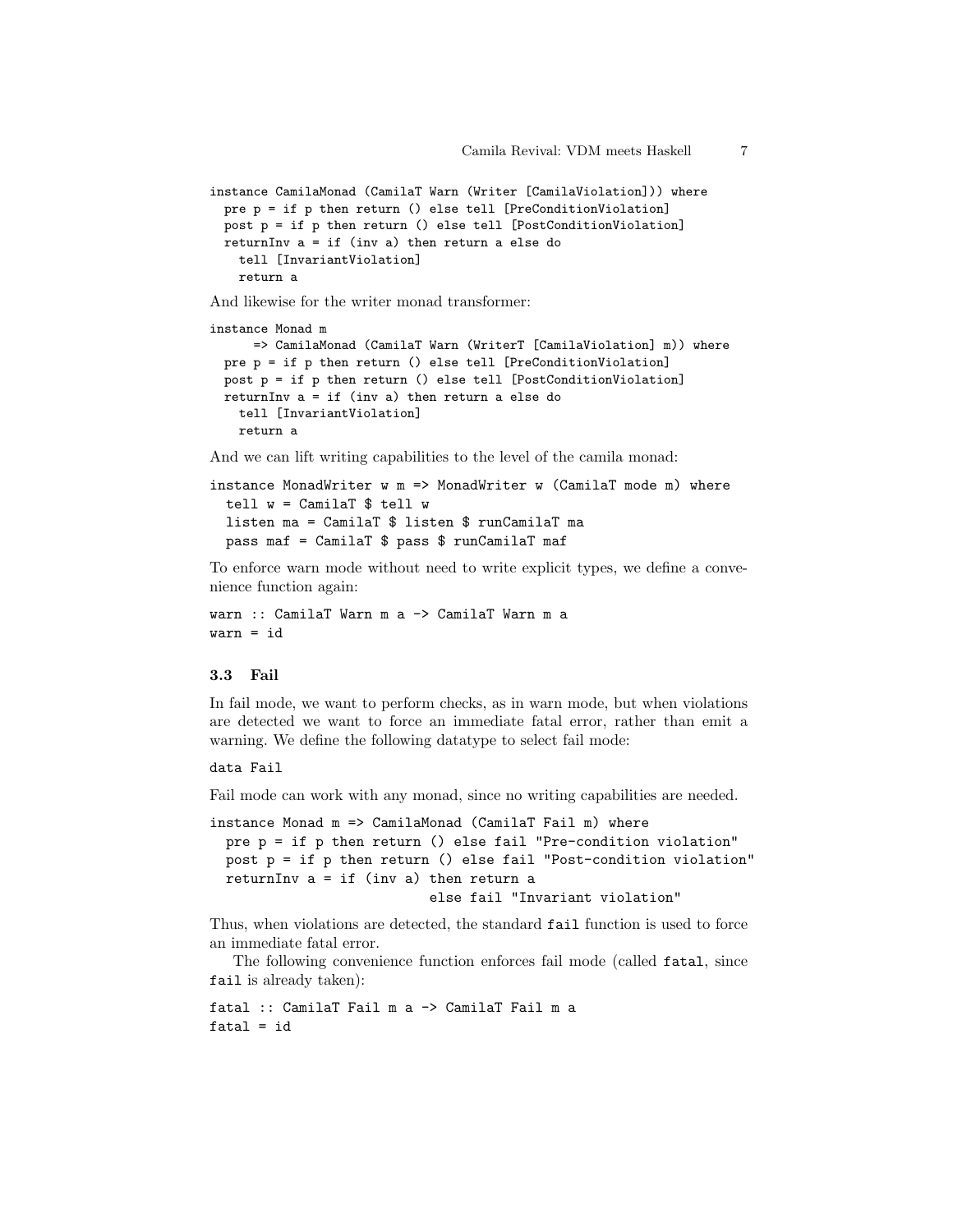```
instance CamilaMonad (CamilaT Warn (Writer [CamilaViolation])) where
 pre p = if p then return () else tell [PreConditionViolation]
 post p = if p then return() else tell [PostConditionViolation]returnInv a = if (inv a) then return a else do
   tell [InvariantViolation]
   return a
```
And likewise for the writer monad transformer:

```
instance Monad m
     => CamilaMonad (CamilaT Warn (WriterT [CamilaViolation] m)) where
 pre p = if p then return () else tell [PreConditionViolation]
 post p = if p then return () else tell [PostConditionViolation]
 returnInv a = if (inv a) then return a else do
   tell [InvariantViolation]
   return a
```
And we can lift writing capabilities to the level of the camila monad:

```
instance MonadWriter w = MonadWriter w (CamilaT mode m) where
 tell w = CamilaT $ tell wlisten ma = CamilaT $ listen $ runCamilaT ma
 pass maf = CamilaT $ pass $ runCamilaT maf
```
To enforce warn mode without need to write explicit types, we define a convenience function again:

```
warn :: CamilaT Warn m a -> CamilaT Warn m a
warn = id
```
#### 3.3 Fail

In fail mode, we want to perform checks, as in warn mode, but when violations are detected we want to force an immediate fatal error, rather than emit a warning. We define the following datatype to select fail mode:

## data Fail

Fail mode can work with any monad, since no writing capabilities are needed.

```
instance Monad m => CamilaMonad (CamilaT Fail m) where
 pre p = if p then return () else fail "Pre-condition violation"
 post p = if p then return () else fail "Post-condition violation"
 returnInv a = if (inv a) then return aelse fail "Invariant violation"
```
Thus, when violations are detected, the standard fail function is used to force an immediate fatal error.

The following convenience function enforces fail mode (called fatal, since fail is already taken):

```
fatal :: CamilaT Fail m a -> CamilaT Fail m a
fatal = id
```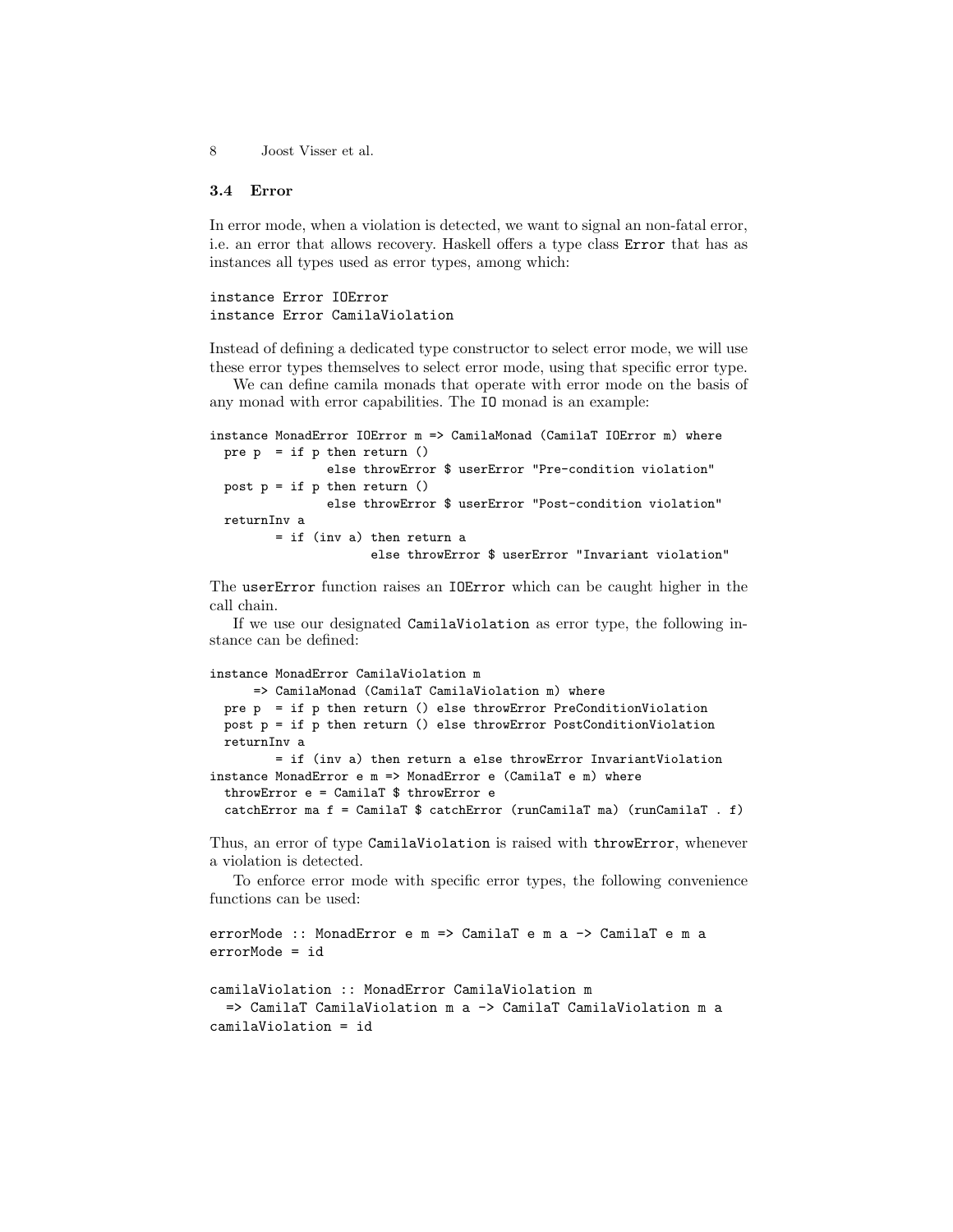## 3.4 Error

In error mode, when a violation is detected, we want to signal an non-fatal error, i.e. an error that allows recovery. Haskell offers a type class Error that has as instances all types used as error types, among which:

## instance Error IOError instance Error CamilaViolation

Instead of defining a dedicated type constructor to select error mode, we will use these error types themselves to select error mode, using that specific error type.

We can define camila monads that operate with error mode on the basis of any monad with error capabilities. The IO monad is an example:

```
instance MonadError IOError m => CamilaMonad (CamilaT IOError m) where
 pre p = if p then return ()else throwError $ userError "Pre-condition violation"
 post p = if p then return ()else throwError $ userError "Post-condition violation"
 returnInv a
        = if (inv a) then return a
                      else throwError $ userError "Invariant violation"
```
The userError function raises an IOError which can be caught higher in the call chain.

If we use our designated CamilaViolation as error type, the following instance can be defined:

## instance MonadError CamilaViolation m => CamilaMonad (CamilaT CamilaViolation m) where pre p = if p then return () else throwError PreConditionViolation post p = if p then return () else throwError PostConditionViolation returnInv a = if (inv a) then return a else throwError InvariantViolation instance MonadError e m => MonadError e (CamilaT e m) where throwError e = CamilaT \$ throwError e catchError ma f = CamilaT \$ catchError (runCamilaT ma) (runCamilaT . f)

Thus, an error of type CamilaViolation is raised with throwError, whenever a violation is detected.

To enforce error mode with specific error types, the following convenience functions can be used:

```
errorMode :: MonadError e m => CamilaT e m a -> CamilaT e m a
errorMode = id
camilaViolation :: MonadError CamilaViolation m
  => CamilaT CamilaViolation m a -> CamilaT CamilaViolation m a
camilaViolation = id
```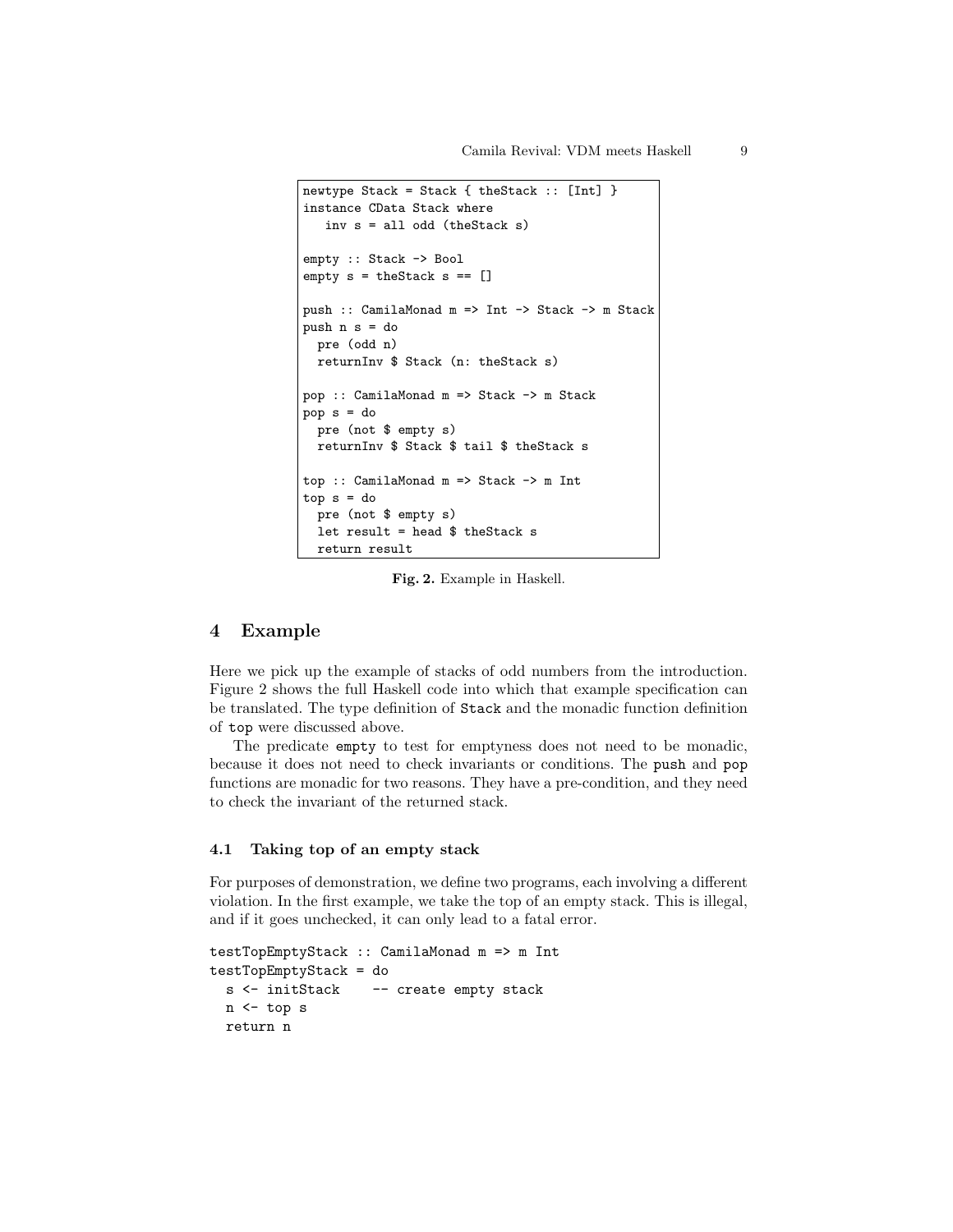```
newtype Stack = Stack { theStack :: [Int] }
instance CData Stack where
   inv s = all odd (theStack s)
empty :: Stack -> Bool
empty s = theStack s == []push :: CamilaMonad m => Int -> Stack -> m Stack
push n s = do
 pre (odd n)
  returnInv $ Stack (n: theStack s)
pop :: CamilaMonad m => Stack -> m Stack
pop s = do
 pre (not $ empty s)
 returnInv $ Stack $ tail $ theStack s
top :: CamilaMonad m => Stack -> m Int
top s = do
 pre (not $ empty s)
 let result = head $ theStack s
 return result
```
Fig. 2. Example in Haskell.

## 4 Example

Here we pick up the example of stacks of odd numbers from the introduction. Figure 2 shows the full Haskell code into which that example specification can be translated. The type definition of Stack and the monadic function definition of top were discussed above.

The predicate empty to test for emptyness does not need to be monadic, because it does not need to check invariants or conditions. The push and pop functions are monadic for two reasons. They have a pre-condition, and they need to check the invariant of the returned stack.

#### 4.1 Taking top of an empty stack

For purposes of demonstration, we define two programs, each involving a different violation. In the first example, we take the top of an empty stack. This is illegal, and if it goes unchecked, it can only lead to a fatal error.

```
testTopEmptyStack :: CamilaMonad m => m Int
testTopEmptyStack = do
 s <- initStack -- create empty stack
 n <- top s
 return n
```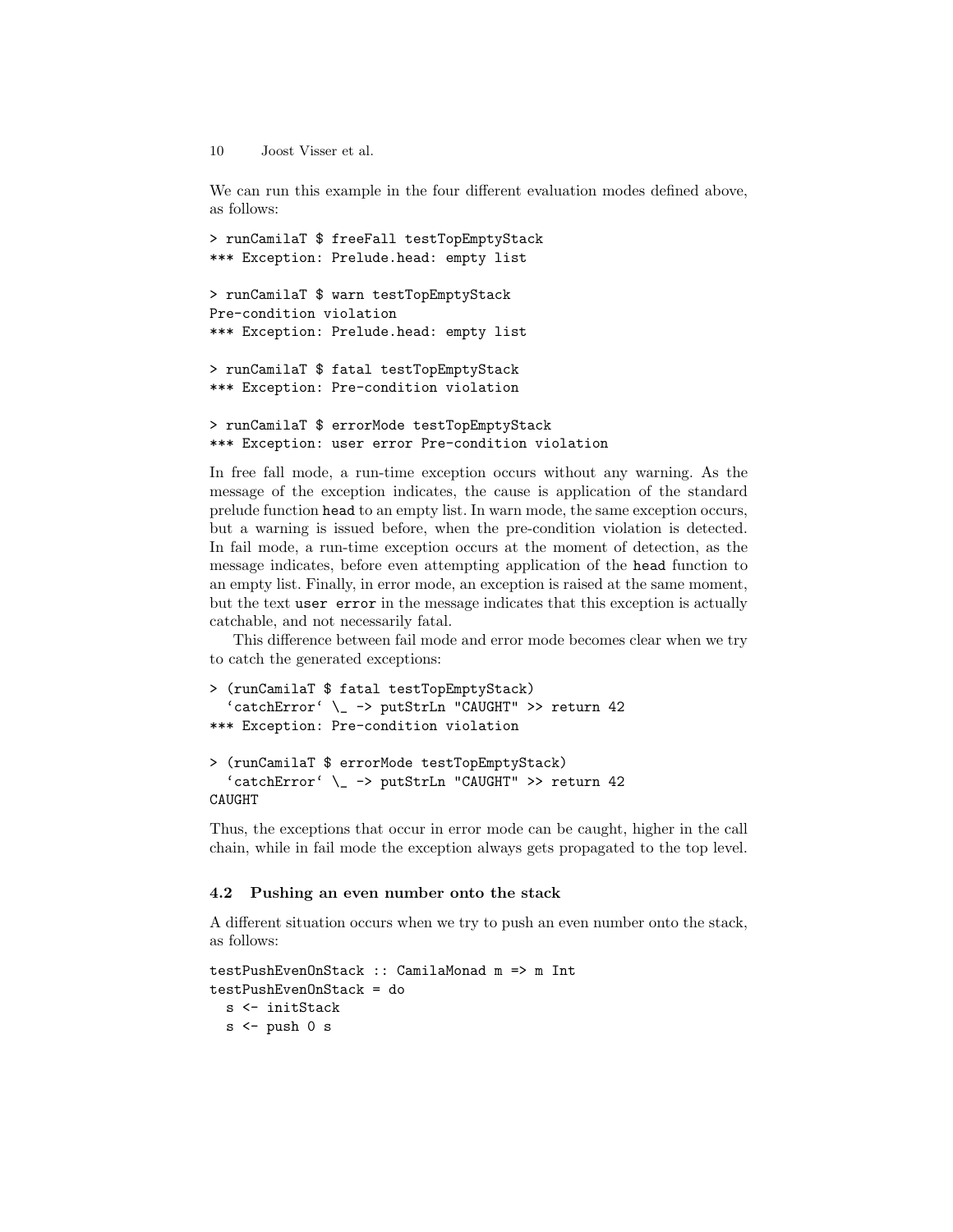We can run this example in the four different evaluation modes defined above, as follows:

```
> runCamilaT $ freeFall testTopEmptyStack
*** Exception: Prelude.head: empty list
> runCamilaT $ warn testTopEmptyStack
Pre-condition violation
*** Exception: Prelude.head: empty list
> runCamilaT $ fatal testTopEmptyStack
*** Exception: Pre-condition violation
> runCamilaT $ errorMode testTopEmptyStack
*** Exception: user error Pre-condition violation
```
In free fall mode, a run-time exception occurs without any warning. As the message of the exception indicates, the cause is application of the standard prelude function head to an empty list. In warn mode, the same exception occurs, but a warning is issued before, when the pre-condition violation is detected. In fail mode, a run-time exception occurs at the moment of detection, as the message indicates, before even attempting application of the head function to an empty list. Finally, in error mode, an exception is raised at the same moment, but the text user error in the message indicates that this exception is actually catchable, and not necessarily fatal.

This difference between fail mode and error mode becomes clear when we try to catch the generated exceptions:

```
> (runCamilaT $ fatal testTopEmptyStack)
  'catchError' \_ -> putStrLn "CAUGHT" >> return 42
*** Exception: Pre-condition violation
```

```
> (runCamilaT $ errorMode testTopEmptyStack)
  'catchError' \_ -> putStrLn "CAUGHT" >> return 42
CAUGHT
```
Thus, the exceptions that occur in error mode can be caught, higher in the call chain, while in fail mode the exception always gets propagated to the top level.

#### 4.2 Pushing an even number onto the stack

A different situation occurs when we try to push an even number onto the stack, as follows:

```
testPushEvenOnStack :: CamilaMonad m => m Int
testPushEvenOnStack = do
  s <- initStack
  s <- push 0 s
```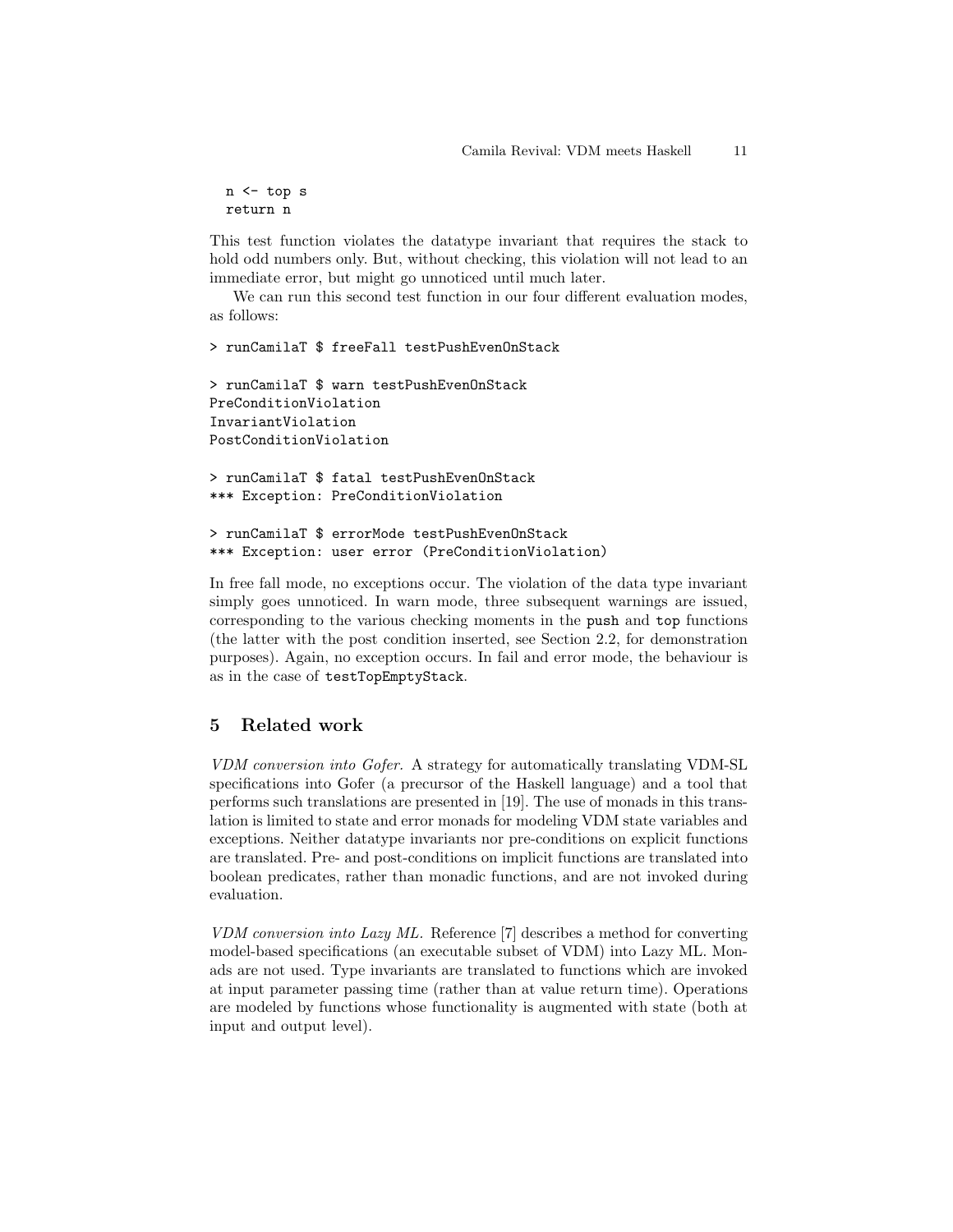n <- top s return n

This test function violates the datatype invariant that requires the stack to hold odd numbers only. But, without checking, this violation will not lead to an immediate error, but might go unnoticed until much later.

We can run this second test function in our four different evaluation modes, as follows:

> runCamilaT \$ freeFall testPushEvenOnStack > runCamilaT \$ warn testPushEvenOnStack PreConditionViolation InvariantViolation PostConditionViolation > runCamilaT \$ fatal testPushEvenOnStack \*\*\* Exception: PreConditionViolation

```
> runCamilaT $ errorMode testPushEvenOnStack
*** Exception: user error (PreConditionViolation)
```
In free fall mode, no exceptions occur. The violation of the data type invariant simply goes unnoticed. In warn mode, three subsequent warnings are issued, corresponding to the various checking moments in the push and top functions (the latter with the post condition inserted, see Section 2.2, for demonstration purposes). Again, no exception occurs. In fail and error mode, the behaviour is as in the case of testTopEmptyStack.

## 5 Related work

VDM conversion into Gofer. A strategy for automatically translating VDM-SL specifications into Gofer (a precursor of the Haskell language) and a tool that performs such translations are presented in [19]. The use of monads in this translation is limited to state and error monads for modeling VDM state variables and exceptions. Neither datatype invariants nor pre-conditions on explicit functions are translated. Pre- and post-conditions on implicit functions are translated into boolean predicates, rather than monadic functions, and are not invoked during evaluation.

VDM conversion into Lazy ML. Reference [7] describes a method for converting model-based specifications (an executable subset of VDM) into Lazy ML. Monads are not used. Type invariants are translated to functions which are invoked at input parameter passing time (rather than at value return time). Operations are modeled by functions whose functionality is augmented with state (both at input and output level).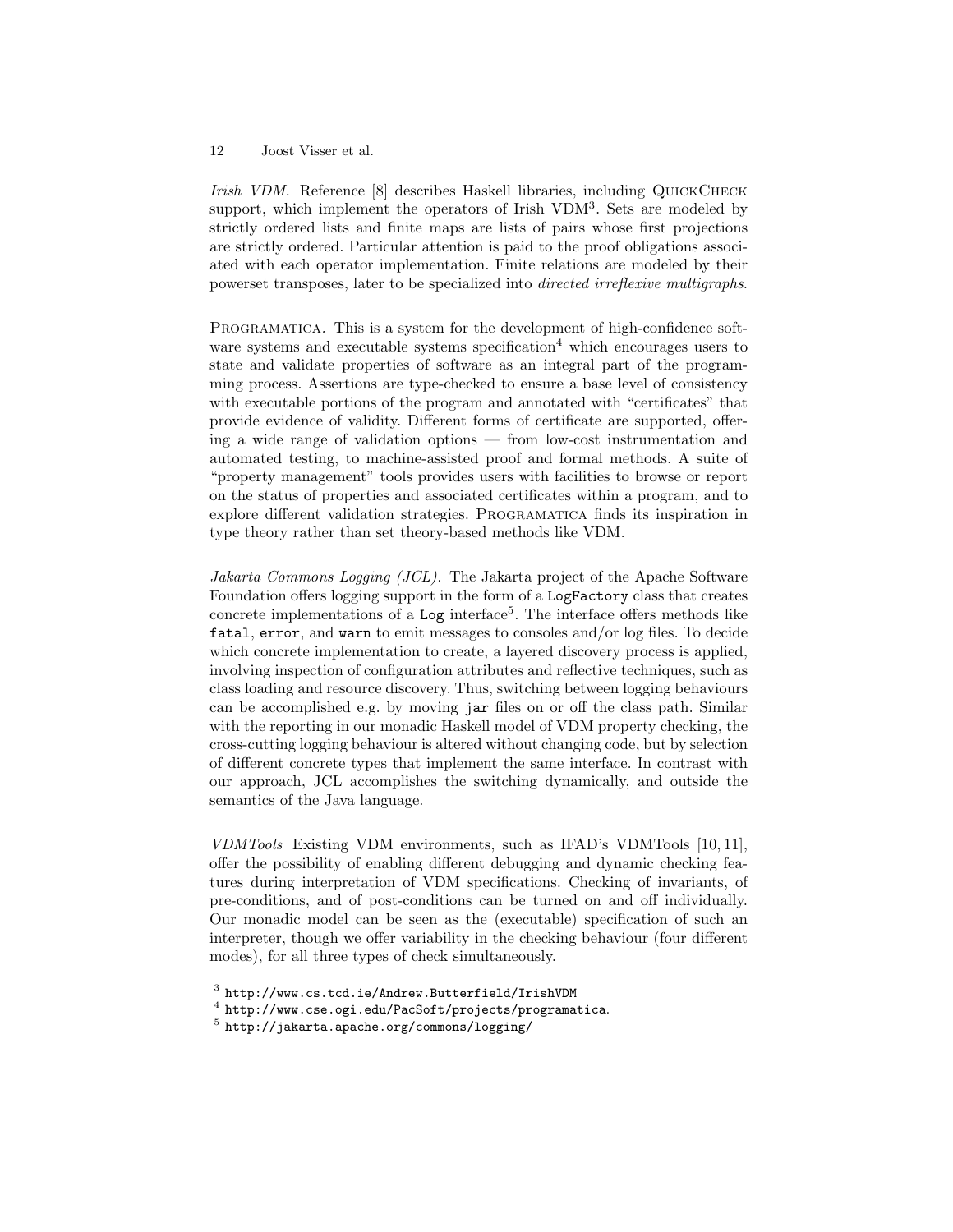Irish VDM. Reference [8] describes Haskell libraries, including QUICKCHECK support, which implement the operators of Irish VDM<sup>3</sup>. Sets are modeled by strictly ordered lists and finite maps are lists of pairs whose first projections are strictly ordered. Particular attention is paid to the proof obligations associated with each operator implementation. Finite relations are modeled by their powerset transposes, later to be specialized into directed irreflexive multigraphs.

Programatica. This is a system for the development of high-confidence software systems and executable systems specification<sup>4</sup> which encourages users to state and validate properties of software as an integral part of the programming process. Assertions are type-checked to ensure a base level of consistency with executable portions of the program and annotated with "certificates" that provide evidence of validity. Different forms of certificate are supported, offering a wide range of validation options — from low-cost instrumentation and automated testing, to machine-assisted proof and formal methods. A suite of "property management" tools provides users with facilities to browse or report on the status of properties and associated certificates within a program, and to explore different validation strategies. Programatica finds its inspiration in type theory rather than set theory-based methods like VDM.

Jakarta Commons Logging (JCL). The Jakarta project of the Apache Software Foundation offers logging support in the form of a LogFactory class that creates concrete implementations of a Log interface<sup>5</sup>. The interface offers methods like fatal, error, and warn to emit messages to consoles and/or log files. To decide which concrete implementation to create, a layered discovery process is applied, involving inspection of configuration attributes and reflective techniques, such as class loading and resource discovery. Thus, switching between logging behaviours can be accomplished e.g. by moving jar files on or off the class path. Similar with the reporting in our monadic Haskell model of VDM property checking, the cross-cutting logging behaviour is altered without changing code, but by selection of different concrete types that implement the same interface. In contrast with our approach, JCL accomplishes the switching dynamically, and outside the semantics of the Java language.

VDMTools Existing VDM environments, such as IFAD's VDMTools [10, 11], offer the possibility of enabling different debugging and dynamic checking features during interpretation of VDM specifications. Checking of invariants, of pre-conditions, and of post-conditions can be turned on and off individually. Our monadic model can be seen as the (executable) specification of such an interpreter, though we offer variability in the checking behaviour (four different modes), for all three types of check simultaneously.

 $^3$  http://www.cs.tcd.ie/Andrew.Butterfield/IrishVDM

 $^4$  http://www.cse.ogi.edu/PacSoft/projects/programatica.

 $<sup>5</sup>$  http://jakarta.apache.org/commons/logging/</sup>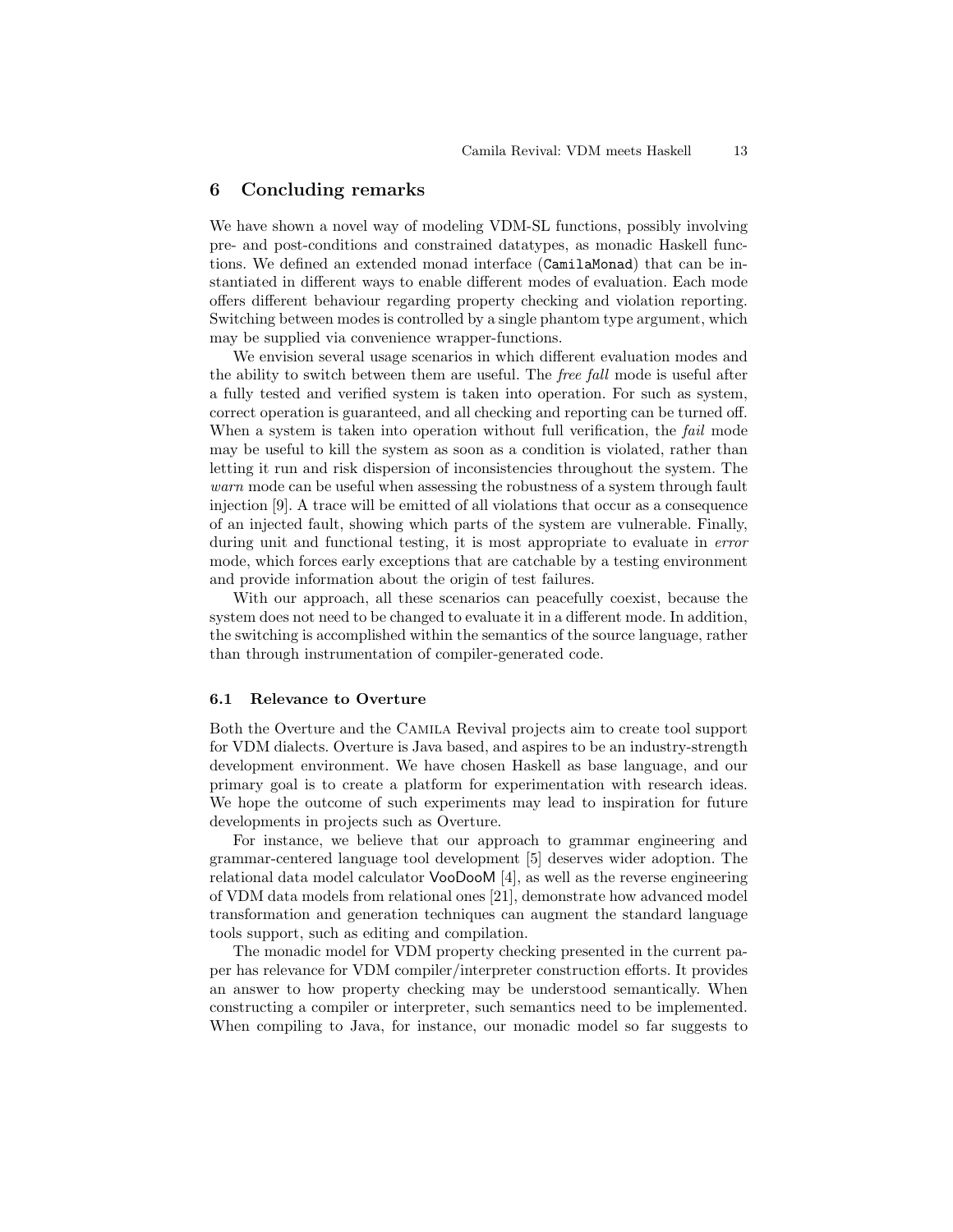## 6 Concluding remarks

We have shown a novel way of modeling VDM-SL functions, possibly involving pre- and post-conditions and constrained datatypes, as monadic Haskell functions. We defined an extended monad interface (CamilaMonad) that can be instantiated in different ways to enable different modes of evaluation. Each mode offers different behaviour regarding property checking and violation reporting. Switching between modes is controlled by a single phantom type argument, which may be supplied via convenience wrapper-functions.

We envision several usage scenarios in which different evaluation modes and the ability to switch between them are useful. The *free fall* mode is useful after a fully tested and verified system is taken into operation. For such as system, correct operation is guaranteed, and all checking and reporting can be turned off. When a system is taken into operation without full verification, the *fail* mode may be useful to kill the system as soon as a condition is violated, rather than letting it run and risk dispersion of inconsistencies throughout the system. The warn mode can be useful when assessing the robustness of a system through fault injection [9]. A trace will be emitted of all violations that occur as a consequence of an injected fault, showing which parts of the system are vulnerable. Finally, during unit and functional testing, it is most appropriate to evaluate in error mode, which forces early exceptions that are catchable by a testing environment and provide information about the origin of test failures.

With our approach, all these scenarios can peacefully coexist, because the system does not need to be changed to evaluate it in a different mode. In addition, the switching is accomplished within the semantics of the source language, rather than through instrumentation of compiler-generated code.

#### 6.1 Relevance to Overture

Both the Overture and the Camila Revival projects aim to create tool support for VDM dialects. Overture is Java based, and aspires to be an industry-strength development environment. We have chosen Haskell as base language, and our primary goal is to create a platform for experimentation with research ideas. We hope the outcome of such experiments may lead to inspiration for future developments in projects such as Overture.

For instance, we believe that our approach to grammar engineering and grammar-centered language tool development [5] deserves wider adoption. The relational data model calculator VooDooM [4], as well as the reverse engineering of VDM data models from relational ones [21], demonstrate how advanced model transformation and generation techniques can augment the standard language tools support, such as editing and compilation.

The monadic model for VDM property checking presented in the current paper has relevance for VDM compiler/interpreter construction efforts. It provides an answer to how property checking may be understood semantically. When constructing a compiler or interpreter, such semantics need to be implemented. When compiling to Java, for instance, our monadic model so far suggests to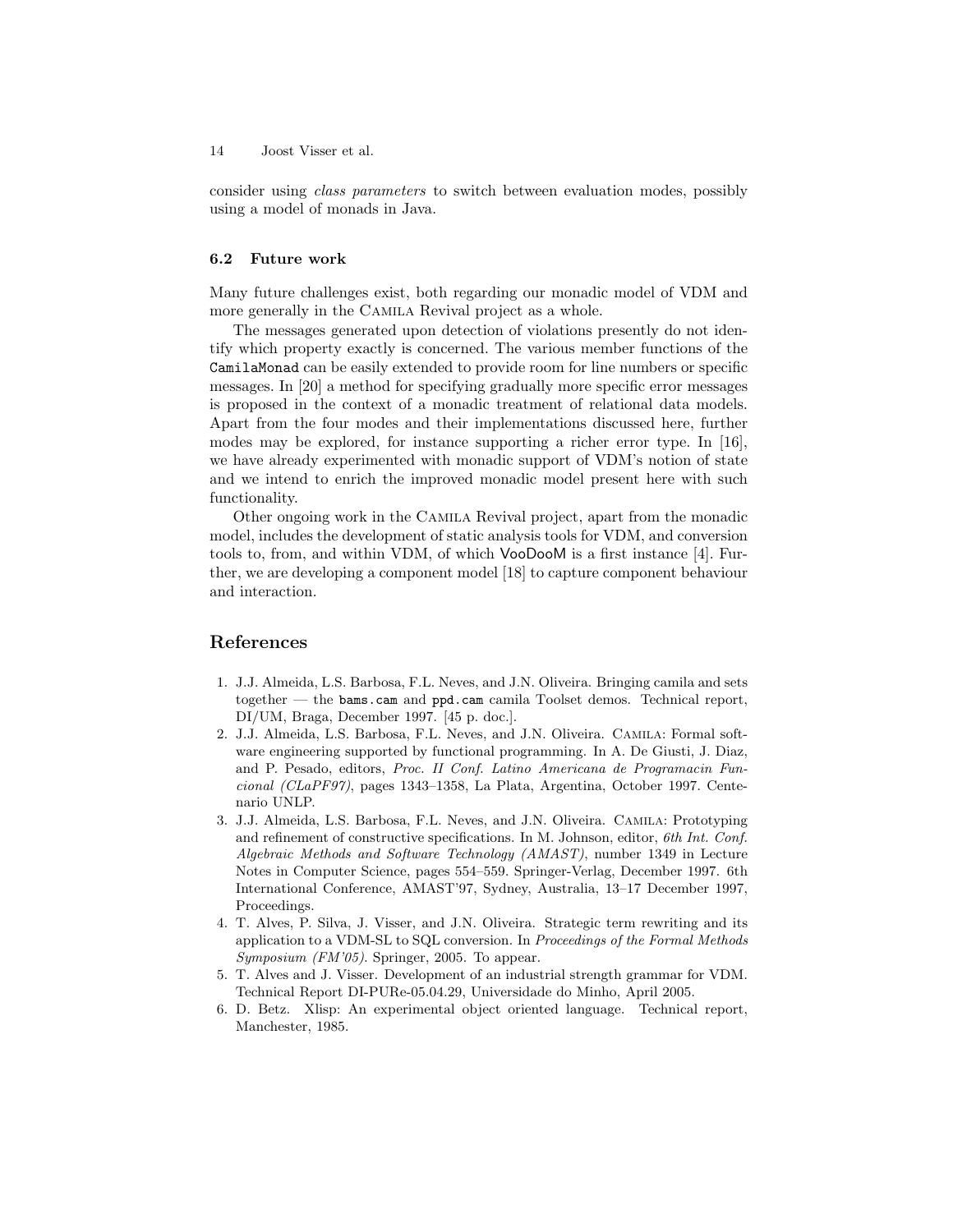consider using class parameters to switch between evaluation modes, possibly using a model of monads in Java.

#### 6.2 Future work

Many future challenges exist, both regarding our monadic model of VDM and more generally in the Camila Revival project as a whole.

The messages generated upon detection of violations presently do not identify which property exactly is concerned. The various member functions of the CamilaMonad can be easily extended to provide room for line numbers or specific messages. In [20] a method for specifying gradually more specific error messages is proposed in the context of a monadic treatment of relational data models. Apart from the four modes and their implementations discussed here, further modes may be explored, for instance supporting a richer error type. In [16], we have already experimented with monadic support of VDM's notion of state and we intend to enrich the improved monadic model present here with such functionality.

Other ongoing work in the Camila Revival project, apart from the monadic model, includes the development of static analysis tools for VDM, and conversion tools to, from, and within VDM, of which VooDooM is a first instance [4]. Further, we are developing a component model [18] to capture component behaviour and interaction.

## References

- 1. J.J. Almeida, L.S. Barbosa, F.L. Neves, and J.N. Oliveira. Bringing camila and sets together — the bams.cam and ppd.cam camila Toolset demos. Technical report, DI/UM, Braga, December 1997. [45 p. doc.].
- 2. J.J. Almeida, L.S. Barbosa, F.L. Neves, and J.N. Oliveira. Camila: Formal software engineering supported by functional programming. In A. De Giusti, J. Diaz, and P. Pesado, editors, Proc. II Conf. Latino Americana de Programacin Funcional (CLaPF97), pages 1343–1358, La Plata, Argentina, October 1997. Centenario UNLP.
- 3. J.J. Almeida, L.S. Barbosa, F.L. Neves, and J.N. Oliveira. Camila: Prototyping and refinement of constructive specifications. In M. Johnson, editor, 6th Int. Conf. Algebraic Methods and Software Technology (AMAST), number 1349 in Lecture Notes in Computer Science, pages 554–559. Springer-Verlag, December 1997. 6th International Conference, AMAST'97, Sydney, Australia, 13–17 December 1997, Proceedings.
- 4. T. Alves, P. Silva, J. Visser, and J.N. Oliveira. Strategic term rewriting and its application to a VDM-SL to SQL conversion. In Proceedings of the Formal Methods Symposium (FM'05). Springer, 2005. To appear.
- 5. T. Alves and J. Visser. Development of an industrial strength grammar for VDM. Technical Report DI-PURe-05.04.29, Universidade do Minho, April 2005.
- 6. D. Betz. Xlisp: An experimental object oriented language. Technical report, Manchester, 1985.